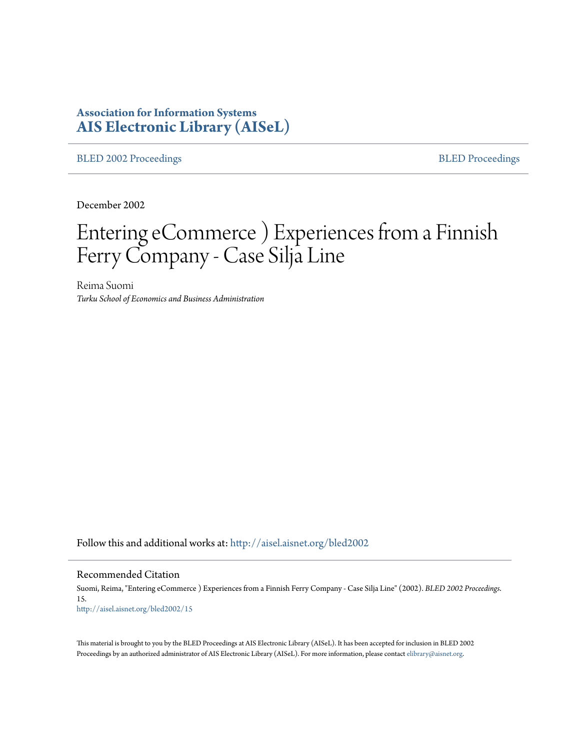# **Association for Information Systems [AIS Electronic Library \(AISeL\)](http://aisel.aisnet.org?utm_source=aisel.aisnet.org%2Fbled2002%2F15&utm_medium=PDF&utm_campaign=PDFCoverPages)**

[BLED 2002 Proceedings](http://aisel.aisnet.org/bled2002?utm_source=aisel.aisnet.org%2Fbled2002%2F15&utm_medium=PDF&utm_campaign=PDFCoverPages) **[BLED Proceedings](http://aisel.aisnet.org/bled?utm_source=aisel.aisnet.org%2Fbled2002%2F15&utm_medium=PDF&utm_campaign=PDFCoverPages)** 

December 2002

# Entering eCommerce ) Experiences from a Finnish Ferry Company - Case Silja Line

Reima Suomi *Turku School of Economics and Business Administration*

Follow this and additional works at: [http://aisel.aisnet.org/bled2002](http://aisel.aisnet.org/bled2002?utm_source=aisel.aisnet.org%2Fbled2002%2F15&utm_medium=PDF&utm_campaign=PDFCoverPages)

#### Recommended Citation

Suomi, Reima, "Entering eCommerce ) Experiences from a Finnish Ferry Company - Case Silja Line" (2002). *BLED 2002 Proceedings*. 15. [http://aisel.aisnet.org/bled2002/15](http://aisel.aisnet.org/bled2002/15?utm_source=aisel.aisnet.org%2Fbled2002%2F15&utm_medium=PDF&utm_campaign=PDFCoverPages)

This material is brought to you by the BLED Proceedings at AIS Electronic Library (AISeL). It has been accepted for inclusion in BLED 2002 Proceedings by an authorized administrator of AIS Electronic Library (AISeL). For more information, please contact [elibrary@aisnet.org](mailto:elibrary@aisnet.org%3E).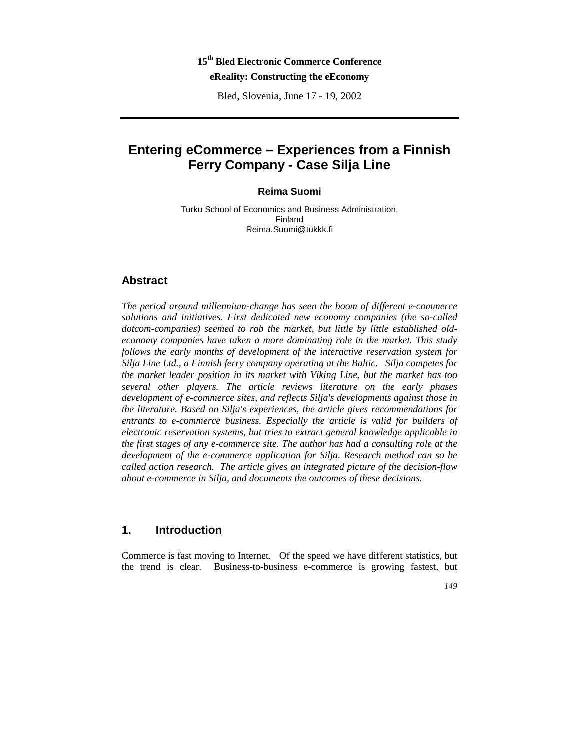# **15th Bled Electronic Commerce Conference eReality: Constructing the eEconomy**

Bled, Slovenia, June 17 - 19, 2002

# **Entering eCommerce – Experiences from a Finnish Ferry Company - Case Silja Line**

# **Reima Suomi**

Turku School of Economics and Business Administration, Finland Reima.Suomi@tukkk.fi

# **Abstract**

*The period around millennium-change has seen the boom of different e-commerce solutions and initiatives. First dedicated new economy companies (the so-called dotcom-companies) seemed to rob the market, but little by little established oldeconomy companies have taken a more dominating role in the market. This study follows the early months of development of the interactive reservation system for Silja Line Ltd., a Finnish ferry company operating at the Baltic. Silja competes for the market leader position in its market with Viking Line, but the market has too several other players. The article reviews literature on the early phases development of e-commerce sites, and reflects Silja's developments against those in the literature. Based on Silja's experiences, the article gives recommendations for entrants to e-commerce business. Especially the article is valid for builders of electronic reservation systems, but tries to extract general knowledge applicable in the first stages of any e-commerce site. The author has had a consulting role at the development of the e-commerce application for Silja. Research method can so be called action research. The article gives an integrated picture of the decision-flow about e-commerce in Silja, and documents the outcomes of these decisions.* 

# **1. Introduction**

Commerce is fast moving to Internet. Of the speed we have different statistics, but the trend is clear. Business-to-business e-commerce is growing fastest, but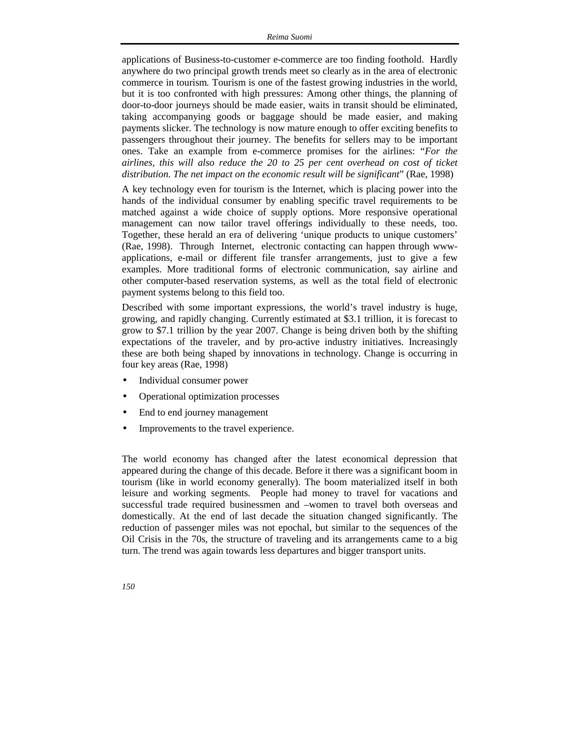applications of Business-to-customer e-commerce are too finding foothold. Hardly anywhere do two principal growth trends meet so clearly as in the area of electronic commerce in tourism*.* Tourism is one of the fastest growing industries in the world, but it is too confronted with high pressures: Among other things, the planning of door-to-door journeys should be made easier, waits in transit should be eliminated, taking accompanying goods or baggage should be made easier, and making payments slicker. The technology is now mature enough to offer exciting benefits to passengers throughout their journey. The benefits for sellers may to be important ones. Take an example from e-commerce promises for the airlines: "*For the airlines, this will also reduce the 20 to 25 per cent overhead on cost of ticket distribution. The net impact on the economic result will be significant*" (Rae, 1998)

A key technology even for tourism is the Internet, which is placing power into the hands of the individual consumer by enabling specific travel requirements to be matched against a wide choice of supply options. More responsive operational management can now tailor travel offerings individually to these needs, too. Together, these herald an era of delivering 'unique products to unique customers' (Rae, 1998). Through Internet, electronic contacting can happen through wwwapplications, e-mail or different file transfer arrangements, just to give a few examples. More traditional forms of electronic communication, say airline and other computer-based reservation systems, as well as the total field of electronic payment systems belong to this field too.

Described with some important expressions, the world's travel industry is huge, growing, and rapidly changing. Currently estimated at \$3.1 trillion, it is forecast to grow to \$7.1 trillion by the year 2007. Change is being driven both by the shifting expectations of the traveler, and by pro-active industry initiatives. Increasingly these are both being shaped by innovations in technology. Change is occurring in four key areas (Rae, 1998)

- Individual consumer power
- Operational optimization processes
- End to end journey management
- Improvements to the travel experience.

The world economy has changed after the latest economical depression that appeared during the change of this decade. Before it there was a significant boom in tourism (like in world economy generally). The boom materialized itself in both leisure and working segments. People had money to travel for vacations and successful trade required businessmen and –women to travel both overseas and domestically. At the end of last decade the situation changed significantly. The reduction of passenger miles was not epochal, but similar to the sequences of the Oil Crisis in the 70s, the structure of traveling and its arrangements came to a big turn. The trend was again towards less departures and bigger transport units.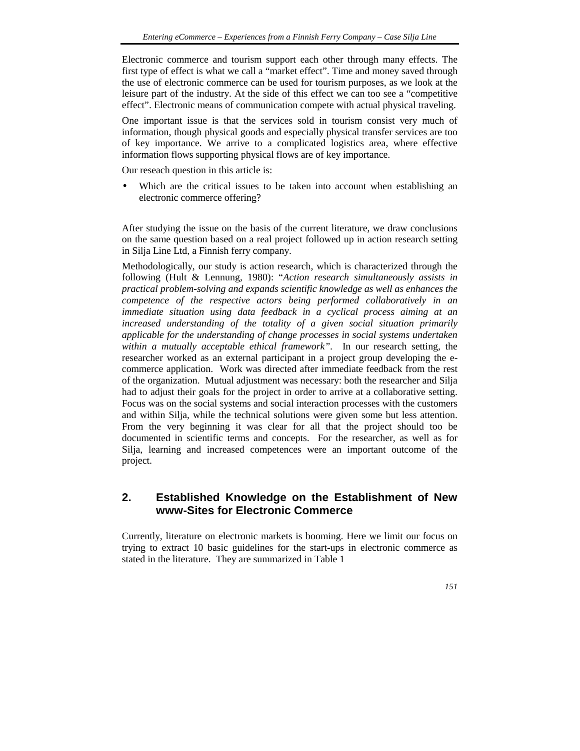Electronic commerce and tourism support each other through many effects. The first type of effect is what we call a "market effect". Time and money saved through the use of electronic commerce can be used for tourism purposes, as we look at the leisure part of the industry. At the side of this effect we can too see a "competitive effect". Electronic means of communication compete with actual physical traveling.

One important issue is that the services sold in tourism consist very much of information, though physical goods and especially physical transfer services are too of key importance. We arrive to a complicated logistics area, where effective information flows supporting physical flows are of key importance.

Our reseach question in this article is:

Which are the critical issues to be taken into account when establishing an electronic commerce offering?

After studying the issue on the basis of the current literature, we draw conclusions on the same question based on a real project followed up in action research setting in Silja Line Ltd, a Finnish ferry company.

Methodologically, our study is action research, which is characterized through the following (Hult & Lennung, 1980): "*Action research simultaneously assists in practical problem-solving and expands scientific knowledge as well as enhances the competence of the respective actors being performed collaboratively in an immediate situation using data feedback in a cyclical process aiming at an*  increased understanding of the totality of a given social situation primarily *applicable for the understanding of change processes in social systems undertaken within a mutually acceptable ethical framework".* In our research setting, the researcher worked as an external participant in a project group developing the ecommerce application. Work was directed after immediate feedback from the rest of the organization. Mutual adjustment was necessary: both the researcher and Silja had to adjust their goals for the project in order to arrive at a collaborative setting. Focus was on the social systems and social interaction processes with the customers and within Silja, while the technical solutions were given some but less attention. From the very beginning it was clear for all that the project should too be documented in scientific terms and concepts. For the researcher, as well as for Silja, learning and increased competences were an important outcome of the project.

# **2. Established Knowledge on the Establishment of New www-Sites for Electronic Commerce**

Currently, literature on electronic markets is booming. Here we limit our focus on trying to extract 10 basic guidelines for the start-ups in electronic commerce as stated in the literature. They are summarized in Table 1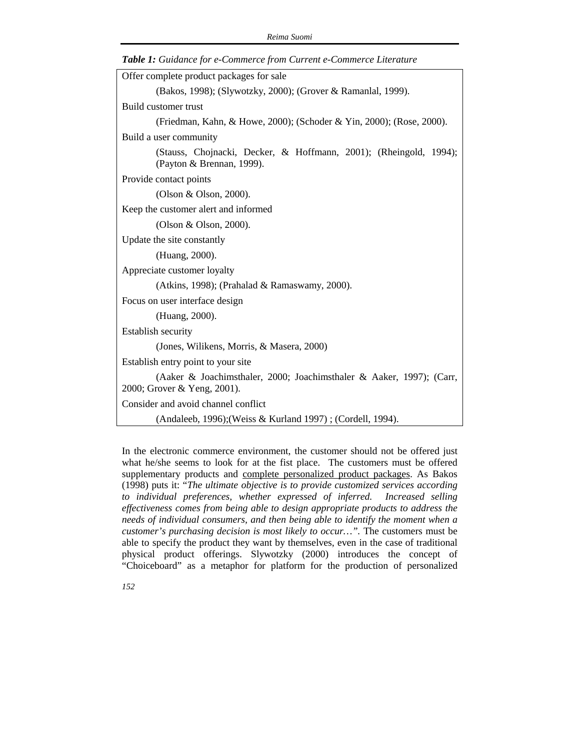| Offer complete product packages for sale                                                            |  |  |  |  |  |
|-----------------------------------------------------------------------------------------------------|--|--|--|--|--|
| (Bakos, 1998); (Slywotzky, 2000); (Grover & Ramanlal, 1999).                                        |  |  |  |  |  |
| Build customer trust                                                                                |  |  |  |  |  |
| (Friedman, Kahn, & Howe, 2000); (Schoder & Yin, 2000); (Rose, 2000).                                |  |  |  |  |  |
| Build a user community                                                                              |  |  |  |  |  |
| (Stauss, Chojnacki, Decker, & Hoffmann, 2001); (Rheingold, 1994);<br>(Payton & Brennan, 1999).      |  |  |  |  |  |
| Provide contact points                                                                              |  |  |  |  |  |
| (Olson & Olson, 2000).                                                                              |  |  |  |  |  |
| Keep the customer alert and informed                                                                |  |  |  |  |  |
| (Olson & Olson, 2000).                                                                              |  |  |  |  |  |
| Update the site constantly                                                                          |  |  |  |  |  |
| (Huang, 2000).                                                                                      |  |  |  |  |  |
| Appreciate customer loyalty                                                                         |  |  |  |  |  |
| (Atkins, 1998); (Prahalad & Ramaswamy, 2000).                                                       |  |  |  |  |  |
| Focus on user interface design                                                                      |  |  |  |  |  |
| (Huang, 2000).                                                                                      |  |  |  |  |  |
| <b>Establish security</b>                                                                           |  |  |  |  |  |
| (Jones, Wilikens, Morris, & Masera, 2000)                                                           |  |  |  |  |  |
| Establish entry point to your site                                                                  |  |  |  |  |  |
| (Aaker & Joachimsthaler, 2000; Joachimsthaler & Aaker, 1997); (Carr,<br>2000; Grover & Yeng, 2001). |  |  |  |  |  |
| Consider and avoid channel conflict                                                                 |  |  |  |  |  |
| (Andaleeb, 1996); (Weiss & Kurland 1997); (Cordell, 1994).                                          |  |  |  |  |  |

*Table 1: Guidance for e-Commerce from Current e-Commerce Literature* 

In the electronic commerce environment, the customer should not be offered just what he/she seems to look for at the fist place. The customers must be offered supplementary products and complete personalized product packages. As Bakos (1998) puts it: "*The ultimate objective is to provide customized services according to individual preferences, whether expressed of inferred. Increased selling effectiveness comes from being able to design appropriate products to address the needs of individual consumers, and then being able to identify the moment when a customer's purchasing decision is most likely to occur…".* The customers must be able to specify the product they want by themselves, even in the case of traditional physical product offerings. Slywotzky (2000) introduces the concept of "Choiceboard" as a metaphor for platform for the production of personalized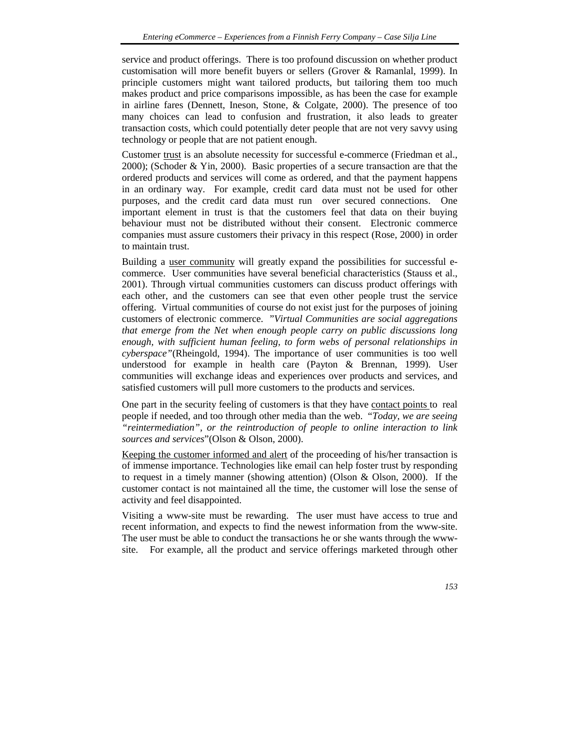service and product offerings. There is too profound discussion on whether product customisation will more benefit buyers or sellers (Grover & Ramanlal, 1999). In principle customers might want tailored products, but tailoring them too much makes product and price comparisons impossible, as has been the case for example in airline fares (Dennett, Ineson, Stone, & Colgate, 2000). The presence of too many choices can lead to confusion and frustration, it also leads to greater transaction costs, which could potentially deter people that are not very savvy using technology or people that are not patient enough.

Customer trust is an absolute necessity for successful e-commerce (Friedman et al., 2000); (Schoder & Yin, 2000). Basic properties of a secure transaction are that the ordered products and services will come as ordered, and that the payment happens in an ordinary way. For example, credit card data must not be used for other purposes, and the credit card data must run over secured connections. One important element in trust is that the customers feel that data on their buying behaviour must not be distributed without their consent. Electronic commerce companies must assure customers their privacy in this respect (Rose, 2000) in order to maintain trust.

Building a user community will greatly expand the possibilities for successful ecommerce. User communities have several beneficial characteristics (Stauss et al., 2001). Through virtual communities customers can discuss product offerings with each other, and the customers can see that even other people trust the service offering. Virtual communities of course do not exist just for the purposes of joining customers of electronic commerce. "*Virtual Communities are social aggregations that emerge from the Net when enough people carry on public discussions long enough, with sufficient human feeling, to form webs of personal relationships in cyberspace"*(Rheingold, 1994). The importance of user communities is too well understood for example in health care (Payton & Brennan, 1999). User communities will exchange ideas and experiences over products and services, and satisfied customers will pull more customers to the products and services.

One part in the security feeling of customers is that they have contact points to real people if needed, and too through other media than the web. "*Today, we are seeing "reintermediation", or the reintroduction of people to online interaction to link sources and services*"(Olson & Olson, 2000).

Keeping the customer informed and alert of the proceeding of his/her transaction is of immense importance. Technologies like email can help foster trust by responding to request in a timely manner (showing attention) (Olson & Olson, 2000). If the customer contact is not maintained all the time, the customer will lose the sense of activity and feel disappointed.

Visiting a www-site must be rewarding. The user must have access to true and recent information, and expects to find the newest information from the www-site. The user must be able to conduct the transactions he or she wants through the wwwsite. For example, all the product and service offerings marketed through other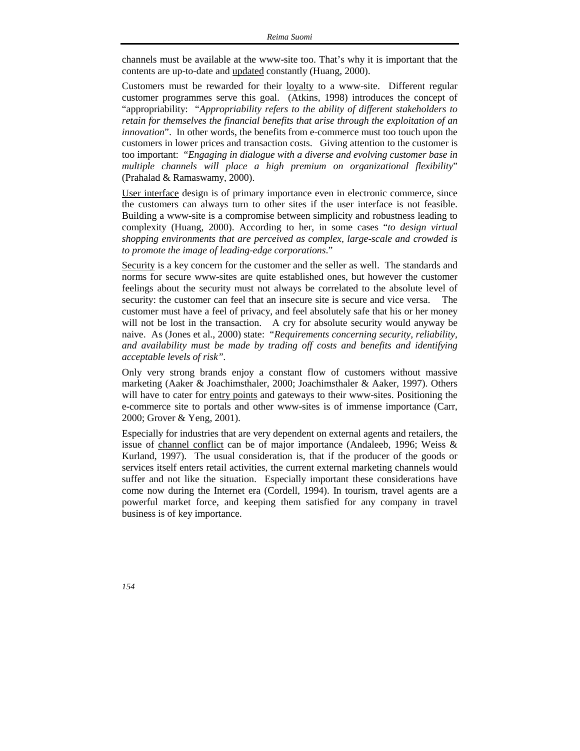channels must be available at the www-site too. That's why it is important that the contents are up-to-date and updated constantly (Huang, 2000).

Customers must be rewarded for their <u>loyalty</u> to a www-site. Different regular customer programmes serve this goal. (Atkins, 1998) introduces the concept of "appropriability: "*Appropriability refers to the ability of different stakeholders to retain for themselves the financial benefits that arise through the exploitation of an innovation*". In other words, the benefits from e-commerce must too touch upon the customers in lower prices and transaction costs. Giving attention to the customer is too important: "*Engaging in dialogue with a diverse and evolving customer base in multiple channels will place a high premium on organizational flexibility*" (Prahalad & Ramaswamy, 2000).

User interface design is of primary importance even in electronic commerce, since the customers can always turn to other sites if the user interface is not feasible. Building a www-site is a compromise between simplicity and robustness leading to complexity (Huang, 2000). According to her, in some cases "*to design virtual shopping environments that are perceived as complex, large-scale and crowded is to promote the image of leading-edge corporations*."

Security is a key concern for the customer and the seller as well. The standards and norms for secure www-sites are quite established ones, but however the customer feelings about the security must not always be correlated to the absolute level of security: the customer can feel that an insecure site is secure and vice versa. The customer must have a feel of privacy, and feel absolutely safe that his or her money will not be lost in the transaction. A cry for absolute security would anyway be naive. As (Jones et al., 2000) state: "*Requirements concerning security, reliability, and availability must be made by trading off costs and benefits and identifying acceptable levels of risk".*

Only very strong brands enjoy a constant flow of customers without massive marketing (Aaker & Joachimsthaler, 2000; Joachimsthaler & Aaker, 1997). Others will have to cater for entry points and gateways to their www-sites. Positioning the e-commerce site to portals and other www-sites is of immense importance (Carr, 2000; Grover & Yeng, 2001).

Especially for industries that are very dependent on external agents and retailers, the issue of channel conflict can be of major importance (Andaleeb, 1996; Weiss & Kurland, 1997). The usual consideration is, that if the producer of the goods or services itself enters retail activities, the current external marketing channels would suffer and not like the situation. Especially important these considerations have come now during the Internet era (Cordell, 1994). In tourism, travel agents are a powerful market force, and keeping them satisfied for any company in travel business is of key importance.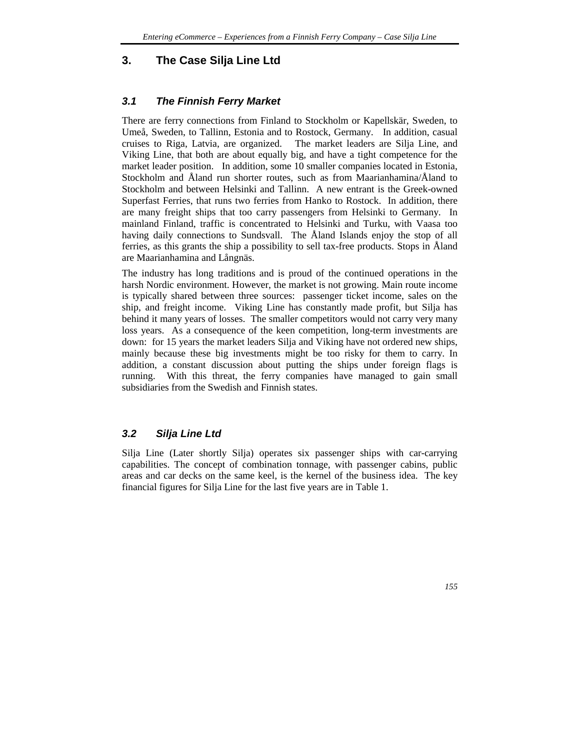# **3. The Case Silja Line Ltd**

# *3.1 The Finnish Ferry Market*

There are ferry connections from Finland to Stockholm or Kapellskär, Sweden, to Umeå, Sweden, to Tallinn, Estonia and to Rostock, Germany. In addition, casual cruises to Riga, Latvia, are organized. The market leaders are Silja Line, and Viking Line, that both are about equally big, and have a tight competence for the market leader position. In addition, some 10 smaller companies located in Estonia, Stockholm and Åland run shorter routes, such as from Maarianhamina/Åland to Stockholm and between Helsinki and Tallinn. A new entrant is the Greek-owned Superfast Ferries, that runs two ferries from Hanko to Rostock. In addition, there are many freight ships that too carry passengers from Helsinki to Germany. In mainland Finland, traffic is concentrated to Helsinki and Turku, with Vaasa too having daily connections to Sundsvall. The Åland Islands enjoy the stop of all ferries, as this grants the ship a possibility to sell tax-free products. Stops in Åland are Maarianhamina and Långnäs.

The industry has long traditions and is proud of the continued operations in the harsh Nordic environment. However, the market is not growing. Main route income is typically shared between three sources: passenger ticket income, sales on the ship, and freight income. Viking Line has constantly made profit, but Silja has behind it many years of losses. The smaller competitors would not carry very many loss years. As a consequence of the keen competition, long-term investments are down: for 15 years the market leaders Silja and Viking have not ordered new ships, mainly because these big investments might be too risky for them to carry. In addition, a constant discussion about putting the ships under foreign flags is running. With this threat, the ferry companies have managed to gain small subsidiaries from the Swedish and Finnish states.

# *3.2 Silja Line Ltd*

Silja Line (Later shortly Silja) operates six passenger ships with car-carrying capabilities. The concept of combination tonnage, with passenger cabins, public areas and car decks on the same keel, is the kernel of the business idea. The key financial figures for Silja Line for the last five years are in Table 1.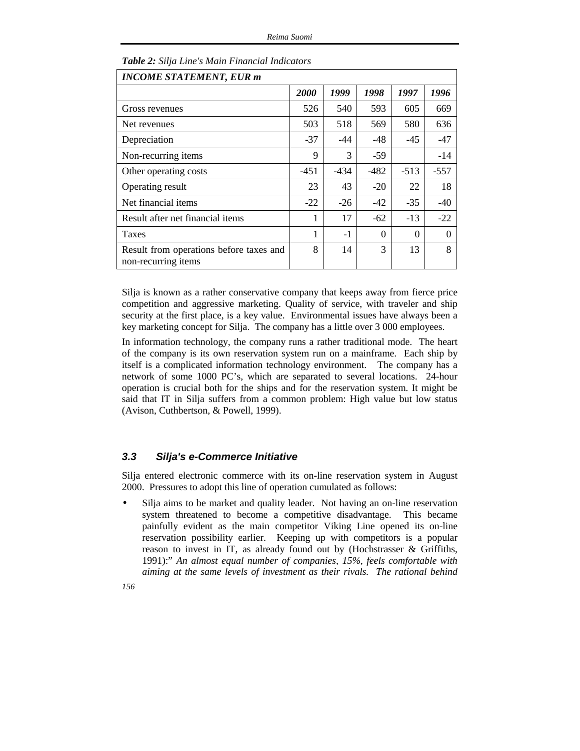| <b>INCOME STATEMENT, EUR m</b>                                 |        |               |          |          |              |  |
|----------------------------------------------------------------|--------|---------------|----------|----------|--------------|--|
|                                                                | 2000   | 1999          | 1998     | 1997     | 1996         |  |
| Gross revenues                                                 | 526    | 540           | 593      | 605      | 669          |  |
| Net revenues                                                   | 503    | 518           | 569      | 580      | 636          |  |
| Depreciation                                                   | $-37$  | -44           | -48      | $-45$    | -47          |  |
| Non-recurring items                                            | 9      | $\mathcal{R}$ | $-59$    |          | $-14$        |  |
| Other operating costs                                          | $-451$ | -434          | $-482$   | $-513$   | $-557$       |  |
| Operating result                                               | 23     | 43            | $-20$    | 22       | 18           |  |
| Net financial items                                            | $-22$  | $-26$         | $-42$    | $-35$    | $-40$        |  |
| Result after net financial items                               | 1      | 17            | $-62$    | $-13$    | $-22$        |  |
| Taxes                                                          | 1      | $-1$          | $\Omega$ | $\theta$ | $\mathbf{0}$ |  |
| Result from operations before taxes and<br>non-recurring items | 8      | 14            | 3        | 13       | 8            |  |

*Table 2: Silja Line's Main Financial Indicators* 

Silja is known as a rather conservative company that keeps away from fierce price competition and aggressive marketing. Quality of service, with traveler and ship security at the first place, is a key value. Environmental issues have always been a key marketing concept for Silja. The company has a little over 3 000 employees.

In information technology, the company runs a rather traditional mode. The heart of the company is its own reservation system run on a mainframe. Each ship by itself is a complicated information technology environment. The company has a network of some 1000 PC's, which are separated to several locations. 24-hour operation is crucial both for the ships and for the reservation system. It might be said that IT in Silja suffers from a common problem: High value but low status (Avison, Cuthbertson, & Powell, 1999).

# *3.3 Silja's e-Commerce Initiative*

Silja entered electronic commerce with its on-line reservation system in August 2000. Pressures to adopt this line of operation cumulated as follows:

Silia aims to be market and quality leader. Not having an on-line reservation system threatened to become a competitive disadvantage. This became painfully evident as the main competitor Viking Line opened its on-line reservation possibility earlier. Keeping up with competitors is a popular reason to invest in IT, as already found out by (Hochstrasser & Griffiths, 1991):" *An almost equal number of companies, 15%, feels comfortable with aiming at the same levels of investment as their rivals. The rational behind*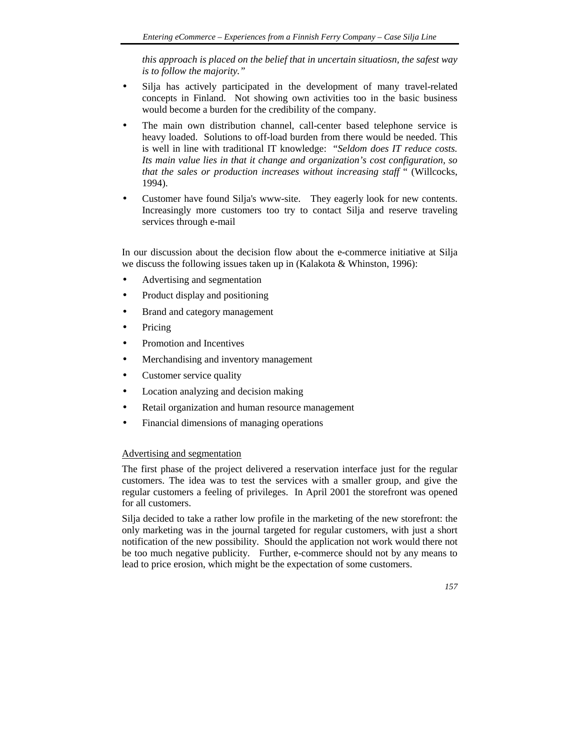*this approach is placed on the belief that in uncertain situatiosn, the safest way is to follow the majority."*

- Silja has actively participated in the development of many travel-related concepts in Finland. Not showing own activities too in the basic business would become a burden for the credibility of the company.
- The main own distribution channel, call-center based telephone service is heavy loaded. Solutions to off-load burden from there would be needed. This is well in line with traditional IT knowledge: "*Seldom does IT reduce costs. Its main value lies in that it change and organization's cost configuration, so that the sales or production increases without increasing staff* " (Willcocks, 1994).
- Customer have found Silja's www-site. They eagerly look for new contents. Increasingly more customers too try to contact Silja and reserve traveling services through e-mail

In our discussion about the decision flow about the e-commerce initiative at Silja we discuss the following issues taken up in (Kalakota & Whinston, 1996):

- Advertising and segmentation
- Product display and positioning
- Brand and category management
- **Pricing**
- Promotion and Incentives
- Merchandising and inventory management
- Customer service quality
- Location analyzing and decision making
- Retail organization and human resource management
- Financial dimensions of managing operations

# Advertising and segmentation

The first phase of the project delivered a reservation interface just for the regular customers. The idea was to test the services with a smaller group, and give the regular customers a feeling of privileges. In April 2001 the storefront was opened for all customers.

Silja decided to take a rather low profile in the marketing of the new storefront: the only marketing was in the journal targeted for regular customers, with just a short notification of the new possibility. Should the application not work would there not be too much negative publicity. Further, e-commerce should not by any means to lead to price erosion, which might be the expectation of some customers.

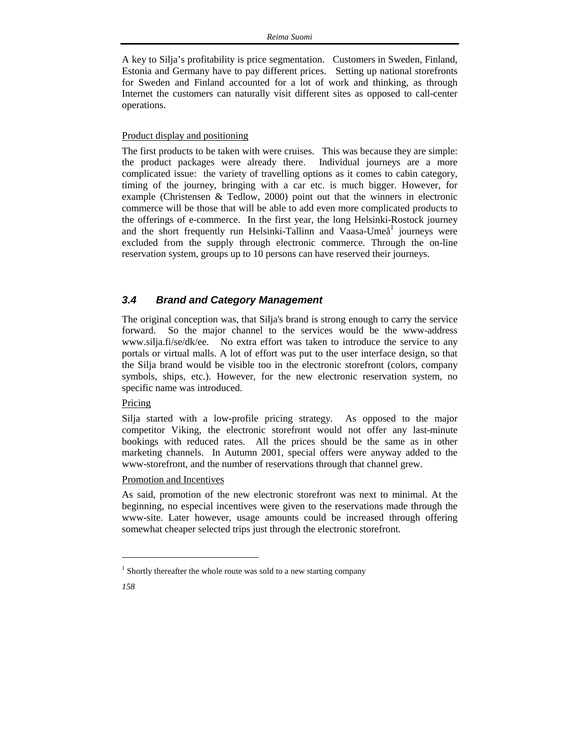A key to Silja's profitability is price segmentation. Customers in Sweden, Finland, Estonia and Germany have to pay different prices. Setting up national storefronts for Sweden and Finland accounted for a lot of work and thinking, as through Internet the customers can naturally visit different sites as opposed to call-center operations.

#### Product display and positioning

The first products to be taken with were cruises. This was because they are simple: the product packages were already there. Individual journeys are a more complicated issue: the variety of travelling options as it comes to cabin category, timing of the journey, bringing with a car etc. is much bigger. However, for example (Christensen & Tedlow, 2000) point out that the winners in electronic commerce will be those that will be able to add even more complicated products to the offerings of e-commerce. In the first year, the long Helsinki-Rostock journey and the short frequently run Helsinki-Tallinn and Vaasa-Umeå<sup>1</sup> journeys were excluded from the supply through electronic commerce. Through the on-line reservation system, groups up to 10 persons can have reserved their journeys.

## *3.4 Brand and Category Management*

The original conception was, that Silja's brand is strong enough to carry the service forward. So the major channel to the services would be the www-address www.silja.fi/se/dk/ee. No extra effort was taken to introduce the service to any portals or virtual malls. A lot of effort was put to the user interface design, so that the Silja brand would be visible too in the electronic storefront (colors, company symbols, ships, etc.). However, for the new electronic reservation system, no specific name was introduced.

# Pricing

Silja started with a low-profile pricing strategy. As opposed to the major competitor Viking, the electronic storefront would not offer any last-minute bookings with reduced rates. All the prices should be the same as in other marketing channels. In Autumn 2001, special offers were anyway added to the www-storefront, and the number of reservations through that channel grew.

#### Promotion and Incentives

As said, promotion of the new electronic storefront was next to minimal. At the beginning, no especial incentives were given to the reservations made through the www-site. Later however, usage amounts could be increased through offering somewhat cheaper selected trips just through the electronic storefront.

l

<sup>&</sup>lt;sup>1</sup> Shortly thereafter the whole route was sold to a new starting company

*<sup>158</sup>*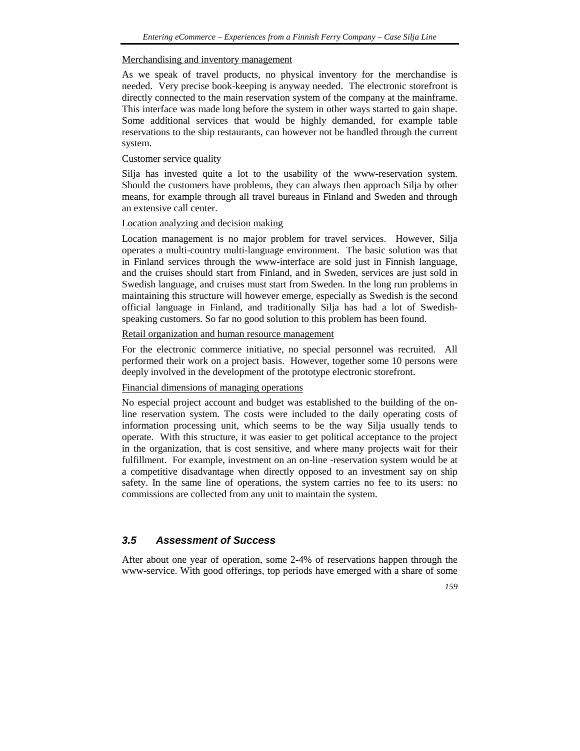#### Merchandising and inventory management

As we speak of travel products, no physical inventory for the merchandise is needed. Very precise book-keeping is anyway needed. The electronic storefront is directly connected to the main reservation system of the company at the mainframe. This interface was made long before the system in other ways started to gain shape. Some additional services that would be highly demanded, for example table reservations to the ship restaurants, can however not be handled through the current system.

#### Customer service quality

Silja has invested quite a lot to the usability of the www-reservation system. Should the customers have problems, they can always then approach Silja by other means, for example through all travel bureaus in Finland and Sweden and through an extensive call center.

## Location analyzing and decision making

Location management is no major problem for travel services. However, Silja operates a multi-country multi-language environment. The basic solution was that in Finland services through the www-interface are sold just in Finnish language, and the cruises should start from Finland, and in Sweden, services are just sold in Swedish language, and cruises must start from Sweden. In the long run problems in maintaining this structure will however emerge, especially as Swedish is the second official language in Finland, and traditionally Silja has had a lot of Swedishspeaking customers. So far no good solution to this problem has been found.

# Retail organization and human resource management

For the electronic commerce initiative, no special personnel was recruited. All performed their work on a project basis. However, together some 10 persons were deeply involved in the development of the prototype electronic storefront.

# Financial dimensions of managing operations

No especial project account and budget was established to the building of the online reservation system. The costs were included to the daily operating costs of information processing unit, which seems to be the way Silja usually tends to operate. With this structure, it was easier to get political acceptance to the project in the organization, that is cost sensitive, and where many projects wait for their fulfillment. For example, investment on an on-line -reservation system would be at a competitive disadvantage when directly opposed to an investment say on ship safety. In the same line of operations, the system carries no fee to its users: no commissions are collected from any unit to maintain the system.

# *3.5 Assessment of Success*

After about one year of operation, some 2-4% of reservations happen through the www-service. With good offerings, top periods have emerged with a share of some

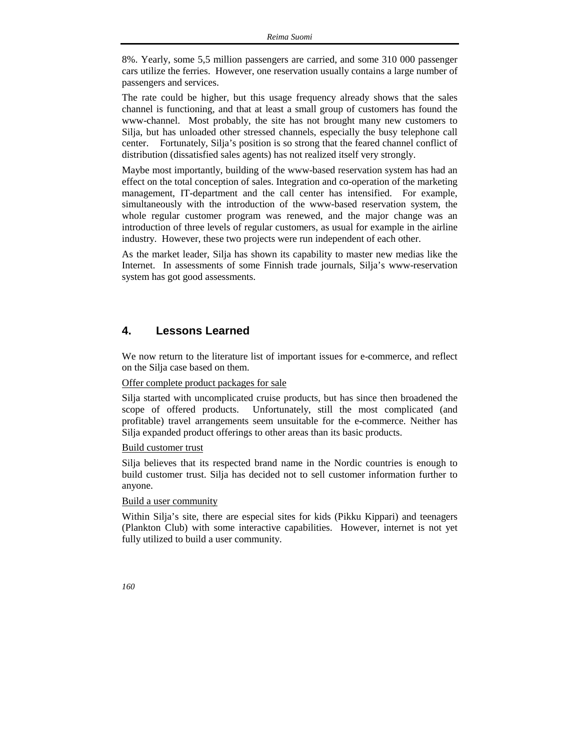8%. Yearly, some 5,5 million passengers are carried, and some 310 000 passenger cars utilize the ferries. However, one reservation usually contains a large number of passengers and services.

The rate could be higher, but this usage frequency already shows that the sales channel is functioning, and that at least a small group of customers has found the www-channel. Most probably, the site has not brought many new customers to Silja, but has unloaded other stressed channels, especially the busy telephone call center. Fortunately, Silja's position is so strong that the feared channel conflict of distribution (dissatisfied sales agents) has not realized itself very strongly.

Maybe most importantly, building of the www-based reservation system has had an effect on the total conception of sales. Integration and co-operation of the marketing management, IT-department and the call center has intensified. For example, simultaneously with the introduction of the www-based reservation system, the whole regular customer program was renewed, and the major change was an introduction of three levels of regular customers, as usual for example in the airline industry. However, these two projects were run independent of each other.

As the market leader, Silja has shown its capability to master new medias like the Internet. In assessments of some Finnish trade journals, Silja's www-reservation system has got good assessments.

# **4. Lessons Learned**

We now return to the literature list of important issues for e-commerce, and reflect on the Silja case based on them.

#### Offer complete product packages for sale

Silja started with uncomplicated cruise products, but has since then broadened the scope of offered products. Unfortunately, still the most complicated (and profitable) travel arrangements seem unsuitable for the e-commerce. Neither has Silja expanded product offerings to other areas than its basic products.

#### Build customer trust

Silja believes that its respected brand name in the Nordic countries is enough to build customer trust. Silja has decided not to sell customer information further to anyone.

#### Build a user community

Within Silja's site, there are especial sites for kids (Pikku Kippari) and teenagers (Plankton Club) with some interactive capabilities. However, internet is not yet fully utilized to build a user community.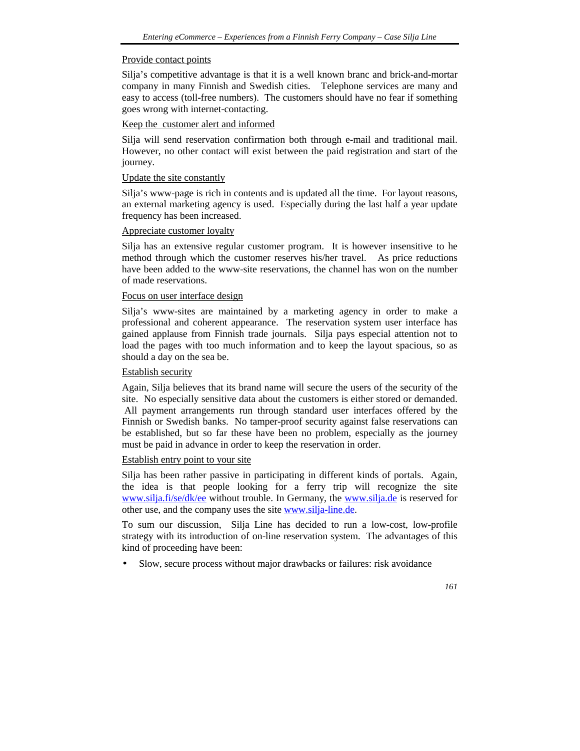#### Provide contact points

Silja's competitive advantage is that it is a well known branc and brick-and-mortar company in many Finnish and Swedish cities. Telephone services are many and easy to access (toll-free numbers). The customers should have no fear if something goes wrong with internet-contacting.

# Keep the customer alert and informed

Silja will send reservation confirmation both through e-mail and traditional mail. However, no other contact will exist between the paid registration and start of the journey.

## Update the site constantly

Silja's www-page is rich in contents and is updated all the time. For layout reasons, an external marketing agency is used. Especially during the last half a year update frequency has been increased.

# Appreciate customer loyalty

Silja has an extensive regular customer program. It is however insensitive to he method through which the customer reserves his/her travel. As price reductions have been added to the www-site reservations, the channel has won on the number of made reservations.

# Focus on user interface design

Silja's www-sites are maintained by a marketing agency in order to make a professional and coherent appearance. The reservation system user interface has gained applause from Finnish trade journals. Silja pays especial attention not to load the pages with too much information and to keep the layout spacious, so as should a day on the sea be.

#### Establish security

Again, Silja believes that its brand name will secure the users of the security of the site. No especially sensitive data about the customers is either stored or demanded. All payment arrangements run through standard user interfaces offered by the Finnish or Swedish banks. No tamper-proof security against false reservations can be established, but so far these have been no problem, especially as the journey must be paid in advance in order to keep the reservation in order.

#### Establish entry point to your site

Silja has been rather passive in participating in different kinds of portals. Again, the idea is that people looking for a ferry trip will recognize the site www.silja.fi/se/dk/ee without trouble. In Germany, the www.silja.de is reserved for other use, and the company uses the site www.silja-line.de.

To sum our discussion, Silja Line has decided to run a low-cost, low-profile strategy with its introduction of on-line reservation system. The advantages of this kind of proceeding have been:

Slow, secure process without major drawbacks or failures: risk avoidance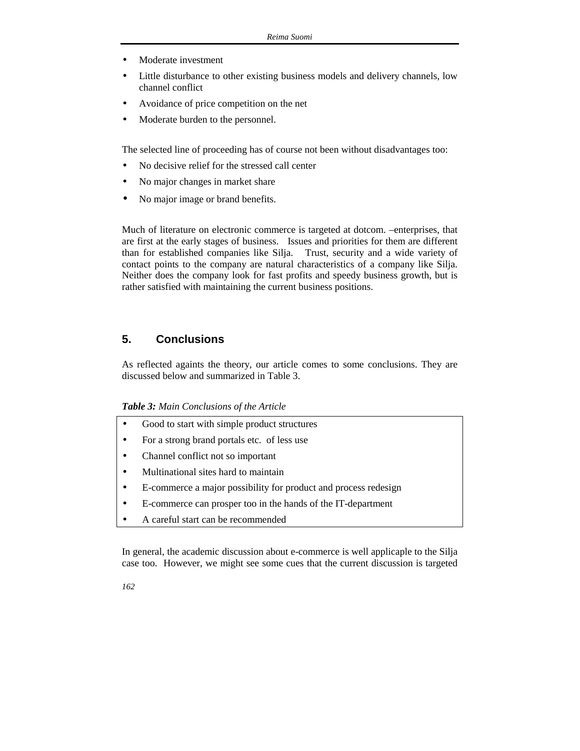- Moderate investment
- Little disturbance to other existing business models and delivery channels, low channel conflict
- Avoidance of price competition on the net
- Moderate burden to the personnel.

The selected line of proceeding has of course not been without disadvantages too:

- No decisive relief for the stressed call center
- No major changes in market share
- No major image or brand benefits.

Much of literature on electronic commerce is targeted at dotcom. –enterprises, that are first at the early stages of business. Issues and priorities for them are different than for established companies like Silja. Trust, security and a wide variety of contact points to the company are natural characteristics of a company like Silja. Neither does the company look for fast profits and speedy business growth, but is rather satisfied with maintaining the current business positions.

# **5. Conclusions**

As reflected againts the theory, our article comes to some conclusions. They are discussed below and summarized in Table 3.

## *Table 3: Main Conclusions of the Article*

- Good to start with simple product structures
- For a strong brand portals etc. of less use
- Channel conflict not so important
- Multinational sites hard to maintain
- E-commerce a major possibility for product and process redesign
- E-commerce can prosper too in the hands of the IT-department
- A careful start can be recommended

In general, the academic discussion about e-commerce is well applicaple to the Silja case too. However, we might see some cues that the current discussion is targeted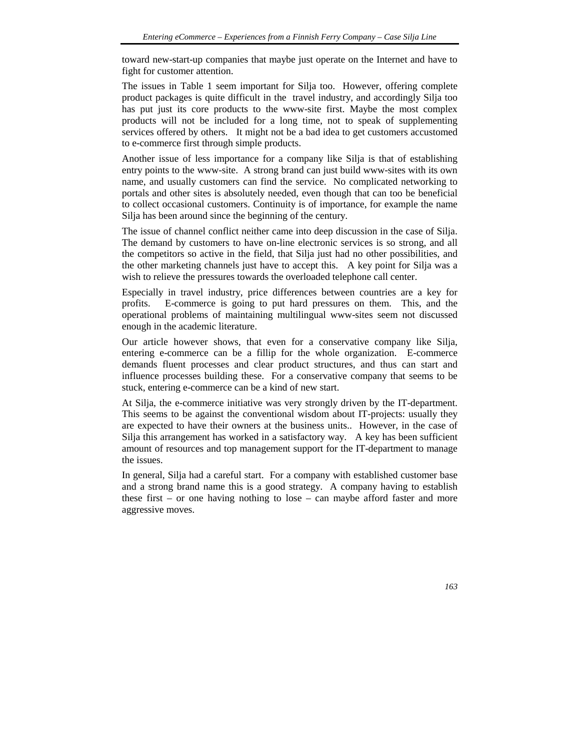toward new-start-up companies that maybe just operate on the Internet and have to fight for customer attention.

The issues in Table 1 seem important for Silja too. However, offering complete product packages is quite difficult in the travel industry, and accordingly Silja too has put just its core products to the www-site first. Maybe the most complex products will not be included for a long time, not to speak of supplementing services offered by others. It might not be a bad idea to get customers accustomed to e-commerce first through simple products.

Another issue of less importance for a company like Silja is that of establishing entry points to the www-site. A strong brand can just build www-sites with its own name, and usually customers can find the service. No complicated networking to portals and other sites is absolutely needed, even though that can too be beneficial to collect occasional customers. Continuity is of importance, for example the name Silja has been around since the beginning of the century.

The issue of channel conflict neither came into deep discussion in the case of Silja. The demand by customers to have on-line electronic services is so strong, and all the competitors so active in the field, that Silja just had no other possibilities, and the other marketing channels just have to accept this. A key point for Silja was a wish to relieve the pressures towards the overloaded telephone call center.

Especially in travel industry, price differences between countries are a key for profits. E-commerce is going to put hard pressures on them. This, and the operational problems of maintaining multilingual www-sites seem not discussed enough in the academic literature.

Our article however shows, that even for a conservative company like Silja, entering e-commerce can be a fillip for the whole organization. E-commerce demands fluent processes and clear product structures, and thus can start and influence processes building these. For a conservative company that seems to be stuck, entering e-commerce can be a kind of new start.

At Silja, the e-commerce initiative was very strongly driven by the IT-department. This seems to be against the conventional wisdom about IT-projects: usually they are expected to have their owners at the business units.. However, in the case of Silja this arrangement has worked in a satisfactory way. A key has been sufficient amount of resources and top management support for the IT-department to manage the issues.

In general, Silja had a careful start. For a company with established customer base and a strong brand name this is a good strategy. A company having to establish these first – or one having nothing to lose – can maybe afford faster and more aggressive moves.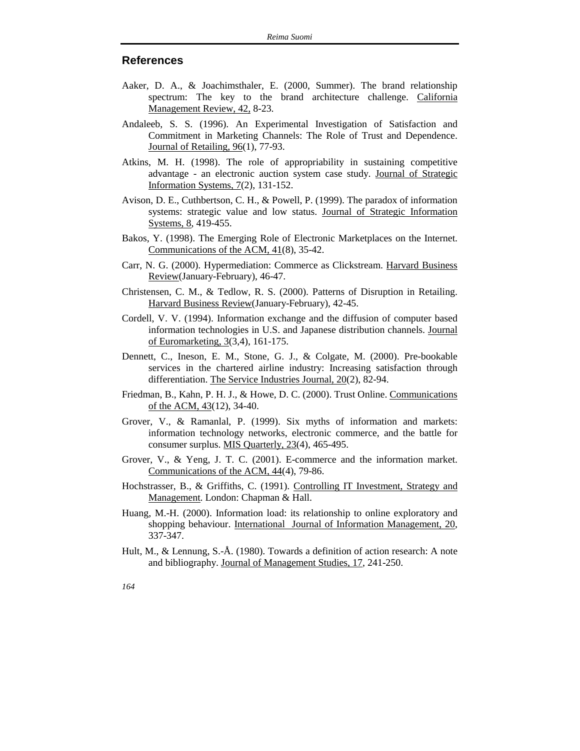# **References**

- Aaker, D. A., & Joachimsthaler, E. (2000, Summer). The brand relationship spectrum: The key to the brand architecture challenge. California Management Review, 42, 8-23.
- Andaleeb, S. S. (1996). An Experimental Investigation of Satisfaction and Commitment in Marketing Channels: The Role of Trust and Dependence. Journal of Retailing, 96(1), 77-93.
- Atkins, M. H. (1998). The role of appropriability in sustaining competitive advantage - an electronic auction system case study. Journal of Strategic Information Systems, 7(2), 131-152.
- Avison, D. E., Cuthbertson, C. H., & Powell, P. (1999). The paradox of information systems: strategic value and low status. Journal of Strategic Information Systems, 8, 419-455.
- Bakos, Y. (1998). The Emerging Role of Electronic Marketplaces on the Internet. Communications of the ACM, 41(8), 35-42.
- Carr, N. G. (2000). Hypermediation: Commerce as Clickstream. Harvard Business Review(January-February), 46-47.
- Christensen, C. M., & Tedlow, R. S. (2000). Patterns of Disruption in Retailing. Harvard Business Review(January-February), 42-45.
- Cordell, V. V. (1994). Information exchange and the diffusion of computer based information technologies in U.S. and Japanese distribution channels. Journal of Euromarketing, 3(3,4), 161-175.
- Dennett, C., Ineson, E. M., Stone, G. J., & Colgate, M. (2000). Pre-bookable services in the chartered airline industry: Increasing satisfaction through differentiation. The Service Industries Journal, 20(2), 82-94.
- Friedman, B., Kahn, P. H. J., & Howe, D. C. (2000). Trust Online. Communications of the ACM, 43(12), 34-40.
- Grover, V., & Ramanlal, P. (1999). Six myths of information and markets: information technology networks, electronic commerce, and the battle for consumer surplus. MIS Quarterly, 23(4), 465-495.
- Grover, V., & Yeng, J. T. C. (2001). E-commerce and the information market. Communications of the ACM, 44(4), 79-86.
- Hochstrasser, B., & Griffiths, C. (1991). Controlling IT Investment, Strategy and Management. London: Chapman & Hall.
- Huang, M.-H. (2000). Information load: its relationship to online exploratory and shopping behaviour. International Journal of Information Management, 20, 337-347.
- Hult, M., & Lennung, S.-Å. (1980). Towards a definition of action research: A note and bibliography. Journal of Management Studies, 17, 241-250.
- *164*